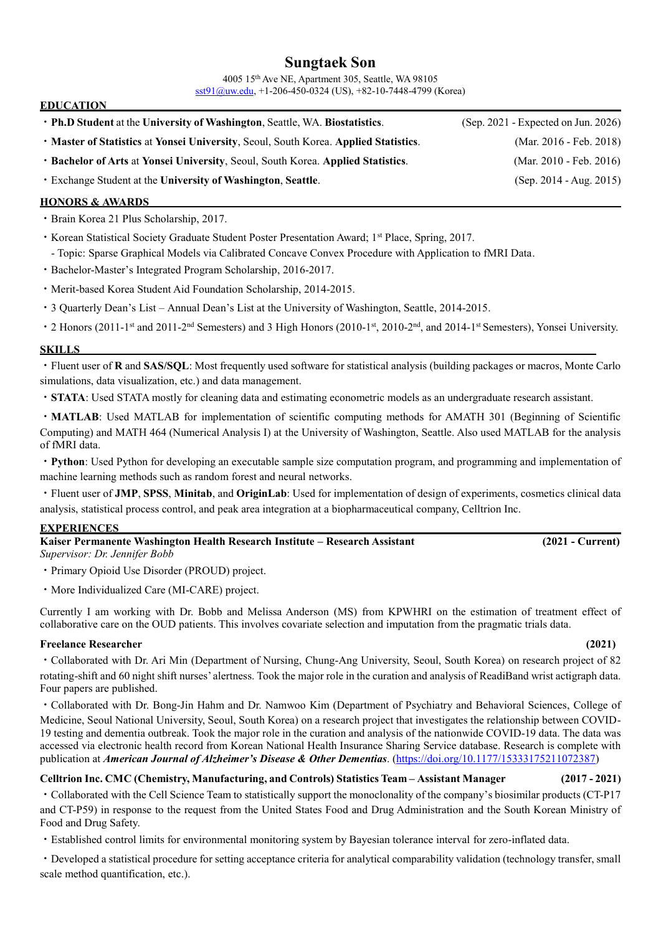# **Sungtaek Son**

4005 15th Ave NE, Apartment 305, Seattle, WA 98105 [sst91@uw.edu,](mailto:sst91@uw.edu) +1-206-450-0324 (US), +82-10-7448-4799 (Korea)

| • Ph.D Student at the University of Washington, Seattle, WA. Biostatistics.          | $(Sep. 2021 - Expected on Jun. 2026)$ |
|--------------------------------------------------------------------------------------|---------------------------------------|
| • Master of Statistics at Yonsei University, Seoul, South Korea. Applied Statistics. | (Mar. 2016 - Feb. 2018)               |
| • Bachelor of Arts at Yonsei University, Seoul, South Korea. Applied Statistics.     | (Mar. 2010 - Feb. 2016)               |
| • Exchange Student at the University of Washington, Seattle.                         | $(Sep. 2014 - Aug. 2015)$             |
|                                                                                      |                                       |

## **HONORS & AWARDS**

**EDUCATION** 

- ㆍBrain Korea 21 Plus Scholarship, 2017.
- Korean Statistical Society Graduate Student Poster Presentation Award: 1<sup>st</sup> Place, Spring, 2017. - Topic: Sparse Graphical Models via Calibrated Concave Convex Procedure with Application to fMRI Data.
- ㆍBachelor-Master's Integrated Program Scholarship, 2016-2017.
- ㆍMerit-based Korea Student Aid Foundation Scholarship, 2014-2015.
- ㆍ3 Quarterly Dean's List Annual Dean's List at the University of Washington, Seattle, 2014-2015.
- 2 Honors (2011-1<sup>st</sup> and 2011-2<sup>nd</sup> Semesters) and 3 High Honors (2010-1<sup>st</sup>, 2010-2<sup>nd</sup>, and 2014-1<sup>st</sup> Semesters), Yonsei University.

### **SKILLS**

ㆍFluent user of **R** and **SAS/SQL**: Most frequently used software for statistical analysis (building packages or macros, Monte Carlo simulations, data visualization, etc.) and data management.

ㆍ**STATA**: Used STATA mostly for cleaning data and estimating econometric models as an undergraduate research assistant.

• **MATLAB**: Used MATLAB for implementation of scientific computing methods for AMATH 301 (Beginning of Scientific Computing) and MATH 464 (Numerical Analysis I) at the University of Washington, Seattle. Also used MATLAB for the analysis of fMRI data.

ㆍ**Python**: Used Python for developing an executable sample size computation program, and programming and implementation of machine learning methods such as random forest and neural networks.

ㆍFluent user of **JMP**, **SPSS**, **Minitab**, and **OriginLab**: Used for implementation of design of experiments, cosmetics clinical data analysis, statistical process control, and peak area integration at a biopharmaceutical company, Celltrion Inc.

# **EXPERIENCES**

| Kaiser Permanente Washington Health Research Institute – Research Assistant | $(2021 - Current)$ |
|-----------------------------------------------------------------------------|--------------------|
| Supervisor: Dr. Jennifer Bobb                                               |                    |

ㆍPrimary Opioid Use Disorder (PROUD) project.

• More Individualized Care (MI-CARE) project.

Currently I am working with Dr. Bobb and Melissa Anderson (MS) from KPWHRI on the estimation of treatment effect of collaborative care on the OUD patients. This involves covariate selection and imputation from the pragmatic trials data.

### **Freelance Researcher (2021)**

ㆍCollaborated with Dr. Ari Min (Department of Nursing, Chung-Ang University, Seoul, South Korea) on research project of 82 rotating-shift and 60 night shift nurses' alertness. Took the major role in the curation and analysis of ReadiBand wrist actigraph data. Four papers are published.

ㆍCollaborated with Dr. Bong-Jin Hahm and Dr. Namwoo Kim (Department of Psychiatry and Behavioral Sciences, College of Medicine, Seoul National University, Seoul, South Korea) on a research project that investigates the relationship between COVID-19 testing and dementia outbreak. Took the major role in the curation and analysis of the nationwide COVID-19 data. The data was accessed via electronic health record from Korean National Health Insurance Sharing Service database. Research is complete with publication at *American Journal of Alzheimer's Disease & Other Dementias*. [\(https://doi.org/10.1177/15333175211072387\)](https://doi.org/10.1177/15333175211072387)

# **Celltrion Inc. CMC (Chemistry, Manufacturing, and Controls) Statistics Team – Assistant Manager (2017 - 2021)**

ㆍCollaborated with the Cell Science Team to statistically support the monoclonality of the company's biosimilar products (CT-P17 and CT-P59) in response to the request from the United States Food and Drug Administration and the South Korean Ministry of Food and Drug Safety.

ㆍEstablished control limits for environmental monitoring system by Bayesian tolerance interval for zero-inflated data.

ㆍDeveloped a statistical procedure for setting acceptance criteria for analytical comparability validation (technology transfer, small scale method quantification, etc.).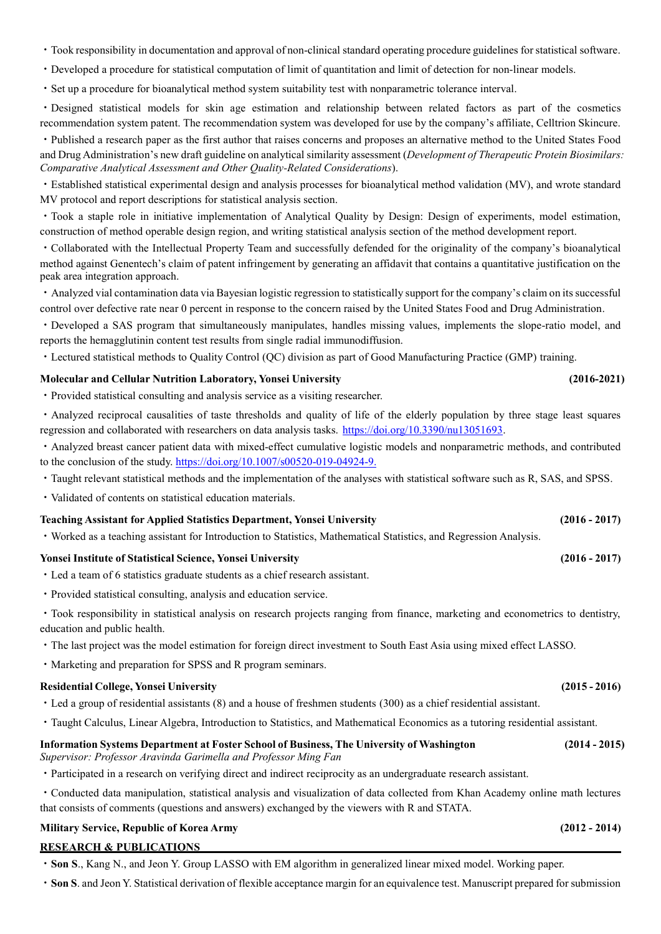- ㆍTook responsibility in documentation and approval of non-clinical standard operating procedure guidelines for statistical software.
- ㆍDeveloped a procedure for statistical computation of limit of quantitation and limit of detection for non-linear models.
- ㆍSet up a procedure for bioanalytical method system suitability test with nonparametric tolerance interval.

ㆍDesigned statistical models for skin age estimation and relationship between related factors as part of the cosmetics recommendation system patent. The recommendation system was developed for use by the company's affiliate, Celltrion Skincure.

ㆍPublished a research paper as the first author that raises concerns and proposes an alternative method to the United States Food and Drug Administration's new draft guideline on analytical similarity assessment (*Development of Therapeutic Protein Biosimilars: Comparative Analytical Assessment and Other Quality-Related Considerations*).

ㆍEstablished statistical experimental design and analysis processes for bioanalytical method validation (MV), and wrote standard MV protocol and report descriptions for statistical analysis section.

ㆍTook a staple role in initiative implementation of Analytical Quality by Design: Design of experiments, model estimation, construction of method operable design region, and writing statistical analysis section of the method development report.

ㆍCollaborated with the Intellectual Property Team and successfully defended for the originality of the company's bioanalytical method against Genentech's claim of patent infringement by generating an affidavit that contains a quantitative justification on the peak area integration approach.

ㆍAnalyzed vial contamination data via Bayesian logistic regression to statistically support for the company's claim on itssuccessful control over defective rate near 0 percent in response to the concern raised by the United States Food and Drug Administration.

ㆍDeveloped a SAS program that simultaneously manipulates, handles missing values, implements the slope-ratio model, and reports the hemagglutinin content test results from single radial immunodiffusion.

ㆍLectured statistical methods to Quality Control (QC) division as part of Good Manufacturing Practice (GMP) training.

#### **Molecular and Cellular Nutrition Laboratory, Yonsei University (2016-2021)**

ㆍProvided statistical consulting and analysis service as a visiting researcher.

ㆍAnalyzed reciprocal causalities of taste thresholds and quality of life of the elderly population by three stage least squares regression and collaborated with researchers on data analysis tasks. [https://doi.org/10.3390/nu13051693.](https://doi.org/10.3390/nu13051693)

ㆍAnalyzed breast cancer patient data with mixed-effect cumulative logistic models and nonparametric methods, and contributed to the conclusion of the study. [https://doi.org/10.1007/s00520-019-04924-9.](https://doi.org/10.1007/s00520-019-04924-9)

- ㆍTaught relevant statistical methods and the implementation of the analyses with statistical software such as R, SAS, and SPSS.
- ㆍValidated of contents on statistical education materials.

#### **Teaching Assistant for Applied Statistics Department, Yonsei University (2016 - 2017)**

ㆍWorked as a teaching assistant for Introduction to Statistics, Mathematical Statistics, and Regression Analysis.

#### **Yonsei Institute of Statistical Science, Yonsei University (2016 - 2017)**

- ㆍLed a team of 6 statistics graduate students as a chief research assistant.
- ㆍProvided statistical consulting, analysis and education service.

ㆍTook responsibility in statistical analysis on research projects ranging from finance, marketing and econometrics to dentistry, education and public health.

ㆍThe last project was the model estimation for foreign direct investment to South East Asia using mixed effect LASSO.

ㆍMarketing and preparation for SPSS and R program seminars.

#### **Residential College, Yonsei University (2015 - 2016)**

- ㆍLed a group of residential assistants (8) and a house of freshmen students (300) as a chief residential assistant.
- ㆍTaught Calculus, Linear Algebra, Introduction to Statistics, and Mathematical Economics as a tutoring residential assistant.

### **Information Systems Department at Foster School of Business, The University of Washington (2014 - 2015)**

*Supervisor: Professor Aravinda Garimella and Professor Ming Fan*

ㆍParticipated in a research on verifying direct and indirect reciprocity as an undergraduate research assistant.

ㆍConducted data manipulation, statistical analysis and visualization of data collected from Khan Academy online math lectures that consists of comments (questions and answers) exchanged by the viewers with R and STATA.

### **Military Service, Republic of Korea Army (2012 - 2014)**

#### **RESEARCH & PUBLICATIONS**

ㆍ**Son S**., Kang N., and Jeon Y. Group LASSO with EM algorithm in generalized linear mixed model. Working paper.

ㆍ**Son S**. and Jeon Y. Statistical derivation of flexible acceptance margin for an equivalence test. Manuscript prepared for submission